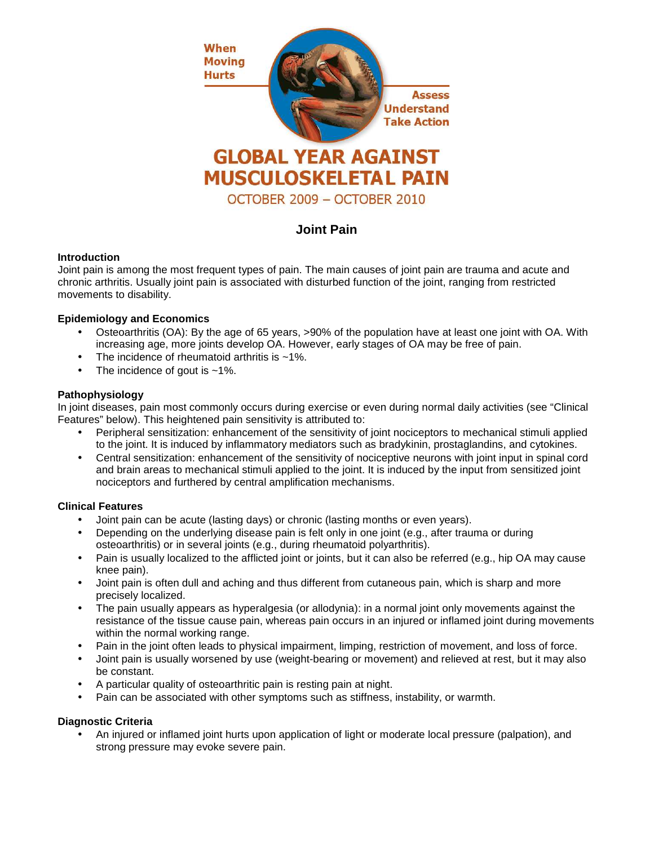

# **Joint Pain**

## **Introduction**

Joint pain is among the most frequent types of pain. The main causes of joint pain are trauma and acute and chronic arthritis. Usually joint pain is associated with disturbed function of the joint, ranging from restricted movements to disability.

## **Epidemiology and Economics**

- Osteoarthritis (OA): By the age of 65 years, >90% of the population have at least one joint with OA. With increasing age, more joints develop OA. However, early stages of OA may be free of pain.
- The incidence of rheumatoid arthritis is  $~1\%$ .
- The incidence of gout is  $~1\%$ .

## **Pathophysiology**

In joint diseases, pain most commonly occurs during exercise or even during normal daily activities (see "Clinical Features" below). This heightened pain sensitivity is attributed to:

- Peripheral sensitization: enhancement of the sensitivity of joint nociceptors to mechanical stimuli applied to the joint. It is induced by inflammatory mediators such as bradykinin, prostaglandins, and cytokines.
- Central sensitization: enhancement of the sensitivity of nociceptive neurons with joint input in spinal cord and brain areas to mechanical stimuli applied to the joint. It is induced by the input from sensitized joint nociceptors and furthered by central amplification mechanisms.

#### **Clinical Features**

- Joint pain can be acute (lasting days) or chronic (lasting months or even years).
- Depending on the underlying disease pain is felt only in one joint (e.g., after trauma or during osteoarthritis) or in several joints (e.g., during rheumatoid polyarthritis).
- Pain is usually localized to the afflicted joint or joints, but it can also be referred (e.g., hip OA may cause knee pain).
- Joint pain is often dull and aching and thus different from cutaneous pain, which is sharp and more precisely localized.
- The pain usually appears as hyperalgesia (or allodynia): in a normal joint only movements against the resistance of the tissue cause pain, whereas pain occurs in an injured or inflamed joint during movements within the normal working range.
- Pain in the joint often leads to physical impairment, limping, restriction of movement, and loss of force.
- Joint pain is usually worsened by use (weight-bearing or movement) and relieved at rest, but it may also be constant.
- A particular quality of osteoarthritic pain is resting pain at night.
- Pain can be associated with other symptoms such as stiffness, instability, or warmth.

#### **Diagnostic Criteria**

• An injured or inflamed joint hurts upon application of light or moderate local pressure (palpation), and strong pressure may evoke severe pain.